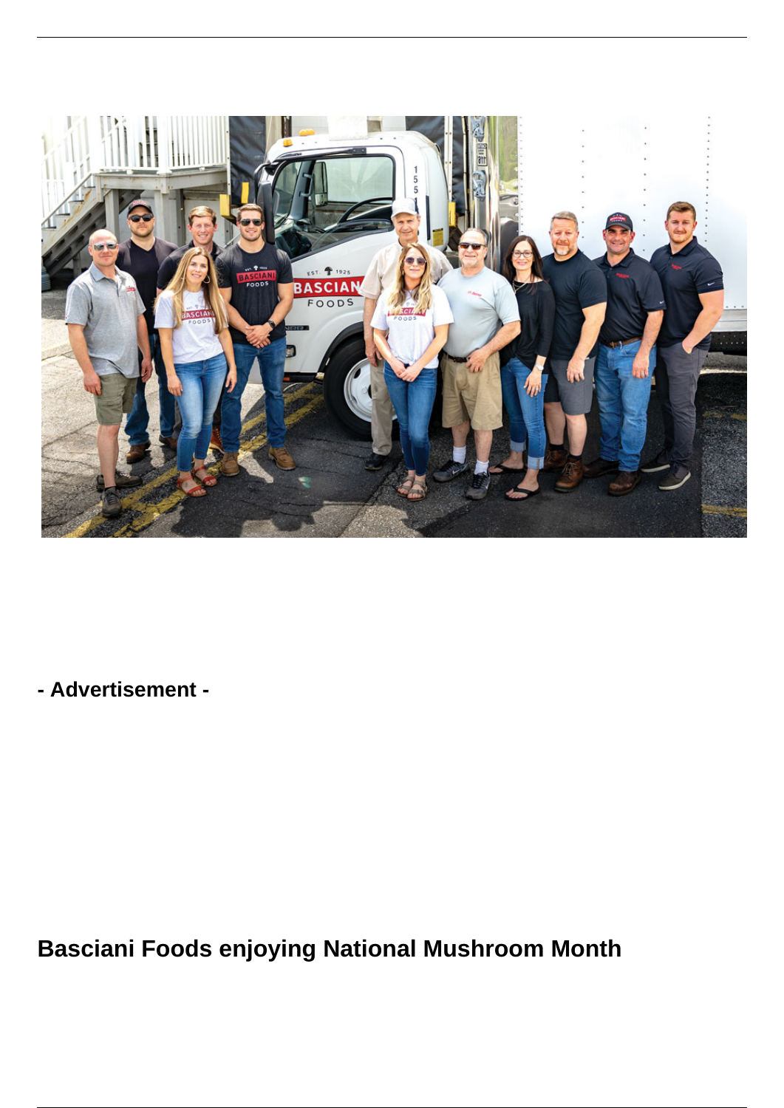

**- Advertisement -**

**Basciani Foods enjoying National Mushroom Month**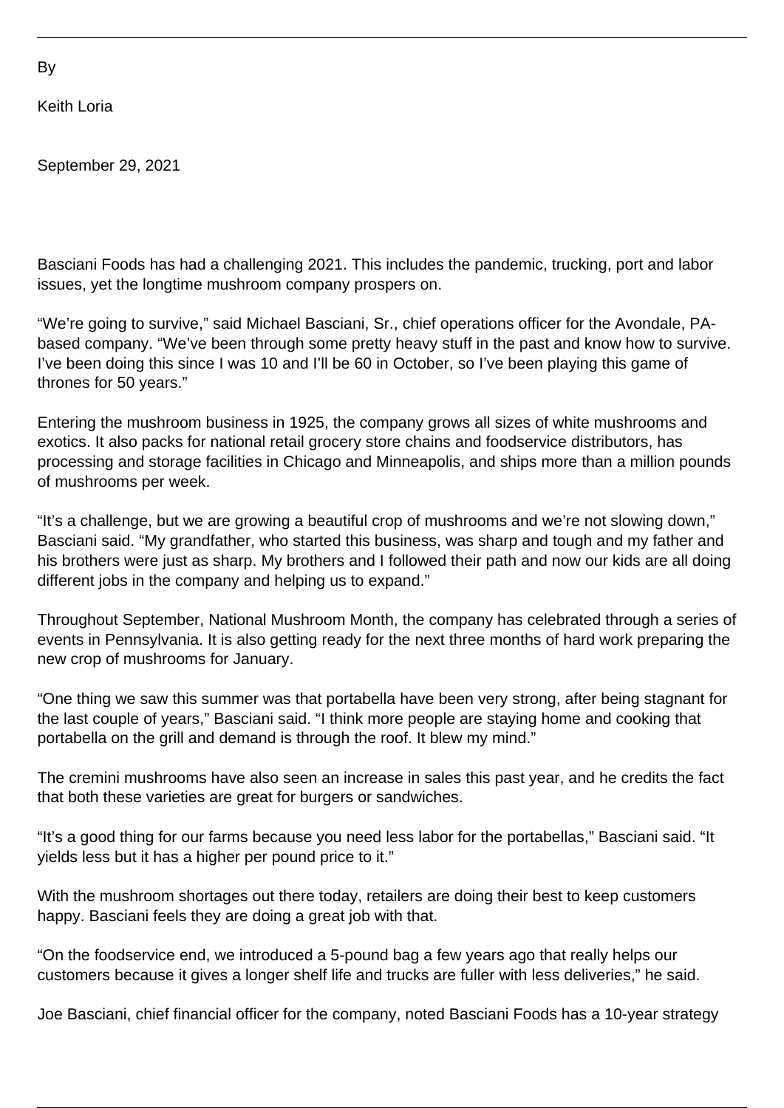By

Keith Loria

September 29, 2021

Basciani Foods has had a challenging 2021. This includes the pandemic, trucking, port and labor issues, yet the longtime mushroom company prospers on.

"We're going to survive," said Michael Basciani, Sr., chief operations officer for the Avondale, PAbased company. "We've been through some pretty heavy stuff in the past and know how to survive. I've been doing this since I was 10 and I'll be 60 in October, so I've been playing this game of thrones for 50 years."

Entering the mushroom business in 1925, the company grows all sizes of white mushrooms and exotics. It also packs for national retail grocery store chains and foodservice distributors, has processing and storage facilities in Chicago and Minneapolis, and ships more than a million pounds of mushrooms per week.

"It's a challenge, but we are growing a beautiful crop of mushrooms and we're not slowing down," Basciani said. "My grandfather, who started this business, was sharp and tough and my father and his brothers were just as sharp. My brothers and I followed their path and now our kids are all doing different jobs in the company and helping us to expand."

Throughout September, National Mushroom Month, the company has celebrated through a series of events in Pennsylvania. It is also getting ready for the next three months of hard work preparing the new crop of mushrooms for January.

"One thing we saw this summer was that portabella have been very strong, after being stagnant for the last couple of years," Basciani said. "I think more people are staying home and cooking that portabella on the grill and demand is through the roof. It blew my mind."

The cremini mushrooms have also seen an increase in sales this past year, and he credits the fact that both these varieties are great for burgers or sandwiches.

"It's a good thing for our farms because you need less labor for the portabellas," Basciani said. "It yields less but it has a higher per pound price to it."

With the mushroom shortages out there today, retailers are doing their best to keep customers happy. Basciani feels they are doing a great job with that.

"On the foodservice end, we introduced a 5-pound bag a few years ago that really helps our customers because it gives a longer shelf life and trucks are fuller with less deliveries," he said.

Joe Basciani, chief financial officer for the company, noted Basciani Foods has a 10-year strategy